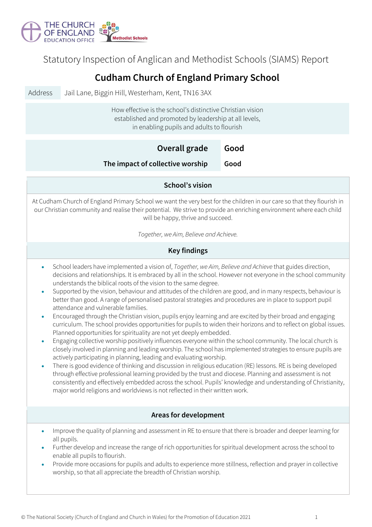

Statutory Inspection of Anglican and Methodist Schools (SIAMS) Report

## **Cudham Church of England Primary School**

Address Jail Lane, Biggin Hill, Westerham, Kent, TN16 3AX

How effective is the school's distinctive Christian vision established and promoted by leadership at all levels, in enabling pupils and adults to flourish

|                                                                                                                                                                                                                                                                                                                                                                                                                                                                                                                                                                                                                                                                                                                                                                                                                                                                                                                                                                                                                                                                                                                                                                                                                                                                                                                                                                                                                                                                                                                                                                                                                                                                         | Overall grade<br>Good<br>The impact of collective worship<br>Good                                                           |  |  |  |
|-------------------------------------------------------------------------------------------------------------------------------------------------------------------------------------------------------------------------------------------------------------------------------------------------------------------------------------------------------------------------------------------------------------------------------------------------------------------------------------------------------------------------------------------------------------------------------------------------------------------------------------------------------------------------------------------------------------------------------------------------------------------------------------------------------------------------------------------------------------------------------------------------------------------------------------------------------------------------------------------------------------------------------------------------------------------------------------------------------------------------------------------------------------------------------------------------------------------------------------------------------------------------------------------------------------------------------------------------------------------------------------------------------------------------------------------------------------------------------------------------------------------------------------------------------------------------------------------------------------------------------------------------------------------------|-----------------------------------------------------------------------------------------------------------------------------|--|--|--|
|                                                                                                                                                                                                                                                                                                                                                                                                                                                                                                                                                                                                                                                                                                                                                                                                                                                                                                                                                                                                                                                                                                                                                                                                                                                                                                                                                                                                                                                                                                                                                                                                                                                                         | School's vision                                                                                                             |  |  |  |
| At Cudham Church of England Primary School we want the very best for the children in our care so that they flourish in<br>our Christian community and realise their potential. We strive to provide an enriching environment where each child<br>will be happy, thrive and succeed.                                                                                                                                                                                                                                                                                                                                                                                                                                                                                                                                                                                                                                                                                                                                                                                                                                                                                                                                                                                                                                                                                                                                                                                                                                                                                                                                                                                     |                                                                                                                             |  |  |  |
|                                                                                                                                                                                                                                                                                                                                                                                                                                                                                                                                                                                                                                                                                                                                                                                                                                                                                                                                                                                                                                                                                                                                                                                                                                                                                                                                                                                                                                                                                                                                                                                                                                                                         | Together, we Aim, Believe and Achieve.                                                                                      |  |  |  |
| <b>Key findings</b>                                                                                                                                                                                                                                                                                                                                                                                                                                                                                                                                                                                                                                                                                                                                                                                                                                                                                                                                                                                                                                                                                                                                                                                                                                                                                                                                                                                                                                                                                                                                                                                                                                                     |                                                                                                                             |  |  |  |
| School leaders have implemented a vision of, Together, we Aim, Believe and Achieve that guides direction,<br>decisions and relationships. It is embraced by all in the school. However not everyone in the school community<br>understands the biblical roots of the vision to the same degree.<br>Supported by the vision, behaviour and attitudes of the children are good, and in many respects, behaviour is<br>$\bullet$<br>better than good. A range of personalised pastoral strategies and procedures are in place to support pupil<br>attendance and vulnerable families.<br>Encouraged through the Christian vision, pupils enjoy learning and are excited by their broad and engaging<br>$\bullet$<br>curriculum. The school provides opportunities for pupils to widen their horizons and to reflect on global issues.<br>Planned opportunities for spirituality are not yet deeply embedded.<br>Engaging collective worship positively influences everyone within the school community. The local church is<br>$\bullet$<br>closely involved in planning and leading worship. The school has implemented strategies to ensure pupils are<br>actively participating in planning, leading and evaluating worship.<br>There is good evidence of thinking and discussion in religious education (RE) lessons. RE is being developed<br>$\bullet$<br>through effective professional learning provided by the trust and diocese. Planning and assessment is not<br>consistently and effectively embedded across the school. Pupils' knowledge and understanding of Christianity,<br>major world religions and worldviews is not reflected in their written work. |                                                                                                                             |  |  |  |
|                                                                                                                                                                                                                                                                                                                                                                                                                                                                                                                                                                                                                                                                                                                                                                                                                                                                                                                                                                                                                                                                                                                                                                                                                                                                                                                                                                                                                                                                                                                                                                                                                                                                         | Areas for development                                                                                                       |  |  |  |
|                                                                                                                                                                                                                                                                                                                                                                                                                                                                                                                                                                                                                                                                                                                                                                                                                                                                                                                                                                                                                                                                                                                                                                                                                                                                                                                                                                                                                                                                                                                                                                                                                                                                         | Improve the quality of planning and assessment in RE to ensure that there is broader and deeper learning for<br>all pupils. |  |  |  |

- Further develop and increase the range of rich opportunities for spiritual development across the school to enable all pupils to flourish.
- Provide more occasions for pupils and adults to experience more stillness, reflection and prayer in collective worship, so that all appreciate the breadth of Christian worship.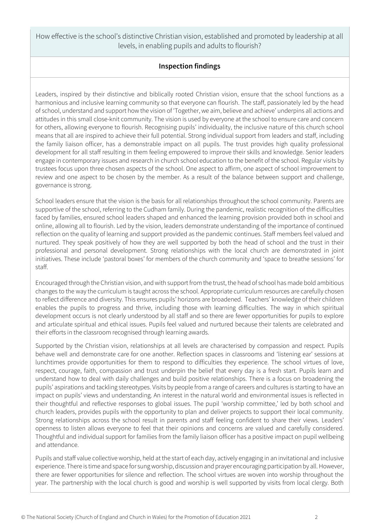How effective is the school's distinctive Christian vision, established and promoted by leadership at all levels, in enabling pupils and adults to flourish?

## **Inspection findings**

Leaders, inspired by their distinctive and biblically rooted Christian vision, ensure that the school functions as a harmonious and inclusive learning community so that everyone can flourish. The staff, passionately led by the head of school, understand and support how the vision of 'Together, we aim, believe and achieve' underpins all actions and attitudes in this small close-knit community. The vision is used by everyone at the school to ensure care and concern for others, allowing everyone to flourish. Recognising pupils' individuality, the inclusive nature of this church school means that all are inspired to achieve their full potential. Strong individual support from leaders and staff, including the family liaison officer, has a demonstrable impact on all pupils. The trust provides high quality professional development for all staff resulting in them feeling empowered to improve their skills and knowledge. Senior leaders engage in contemporary issues and research in church school education to the benefit of the school. Regular visits by trustees focus upon three chosen aspects of the school. One aspect to affirm, one aspect of school improvement to review and one aspect to be chosen by the member. As a result of the balance between support and challenge, governance is strong.

School leaders ensure that the vision is the basis for all relationships throughout the school community. Parents are supportive of the school, referring to the Cudham family. During the pandemic, realistic recognition of the difficulties faced by families, ensured school leaders shaped and enhanced the learning provision provided both in school and online, allowing all to flourish. Led by the vision, leaders demonstrate understanding of the importance of continued reflection on the quality of learning and support provided as the pandemic continues. Staff members feel valued and nurtured. They speak positively of how they are well supported by both the head of school and the trust in their professional and personal development. Strong relationships with the local church are demonstrated in joint initiatives. These include 'pastoral boxes' for members of the church community and 'space to breathe sessions' for staff.

Encouraged through the Christian vision, and with support from the trust, the head of school has made bold ambitious changes to the way the curriculum is taught across the school. Appropriate curriculum resources are carefully chosen to reflect difference and diversity. This ensures pupils' horizons are broadened. Teachers' knowledge of their children enables the pupils to progress and thrive, including those with learning difficulties. The way in which spiritual development occurs is not clearly understood by all staff and so there are fewer opportunities for pupils to explore and articulate spiritual and ethical issues. Pupils feel valued and nurtured because their talents are celebrated and their efforts in the classroom recognised through learning awards.

Supported by the Christian vision, relationships at all levels are characterised by compassion and respect. Pupils behave well and demonstrate care for one another. Reflection spaces in classrooms and 'listening ear' sessions at lunchtimes provide opportunities for them to respond to difficulties they experience. The school virtues of love, respect, courage, faith, compassion and trust underpin the belief that every day is a fresh start. Pupils learn and understand how to deal with daily challenges and build positive relationships. There is a focus on broadening the pupils' aspirations and tackling stereotypes. Visits by people from a range of careers and cultures is starting to have an impact on pupils' views and understanding. An interest in the natural world and environmental issues is reflected in their thoughtful and reflective responses to global issues. The pupil 'worship committee,' led by both school and church leaders, provides pupils with the opportunity to plan and deliver projects to support their local community. Strong relationships across the school result in parents and staff feeling confident to share their views. Leaders' openness to listen allows everyone to feel that their opinions and concerns are valued and carefully considered. Thoughtful and individual support for families from the family liaison officer has a positive impact on pupil wellbeing and attendance.

Pupils and staff value collective worship, held at the start of each day, actively engaging in an invitational and inclusive experience. There is time and space for sung worship, discussion and prayer encouraging participation by all. However, there are fewer opportunities for silence and reflection. The school virtues are woven into worship throughout the year. The partnership with the local church is good and worship is well supported by visits from local clergy. Both